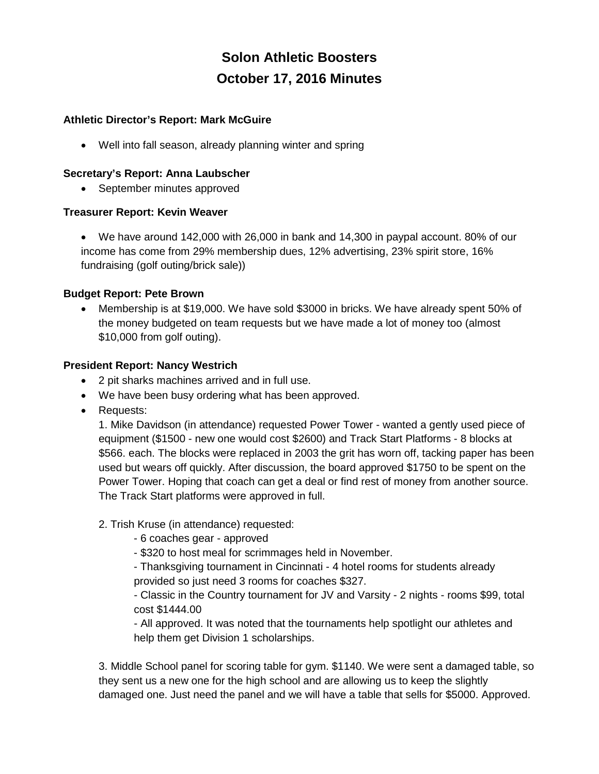# **Solon Athletic Boosters October 17, 2016 Minutes**

# **Athletic Director's Report: Mark McGuire**

• Well into fall season, already planning winter and spring

## **Secretary's Report: Anna Laubscher**

• September minutes approved

# **Treasurer Report: Kevin Weaver**

• We have around 142,000 with 26,000 in bank and 14,300 in paypal account. 80% of our income has come from 29% membership dues, 12% advertising, 23% spirit store, 16% fundraising (golf outing/brick sale))

# **Budget Report: Pete Brown**

• Membership is at \$19,000. We have sold \$3000 in bricks. We have already spent 50% of the money budgeted on team requests but we have made a lot of money too (almost \$10,000 from golf outing).

# **President Report: Nancy Westrich**

- 2 pit sharks machines arrived and in full use.
- We have been busy ordering what has been approved.
- Requests:

1. Mike Davidson (in attendance) requested Power Tower - wanted a gently used piece of equipment (\$1500 - new one would cost \$2600) and Track Start Platforms - 8 blocks at \$566. each. The blocks were replaced in 2003 the grit has worn off, tacking paper has been used but wears off quickly. After discussion, the board approved \$1750 to be spent on the Power Tower. Hoping that coach can get a deal or find rest of money from another source. The Track Start platforms were approved in full.

# 2. Trish Kruse (in attendance) requested:

- 6 coaches gear approved
- \$320 to host meal for scrimmages held in November.
- Thanksgiving tournament in Cincinnati 4 hotel rooms for students already provided so just need 3 rooms for coaches \$327.

- Classic in the Country tournament for JV and Varsity - 2 nights - rooms \$99, total cost \$1444.00

- All approved. It was noted that the tournaments help spotlight our athletes and help them get Division 1 scholarships.

3. Middle School panel for scoring table for gym. \$1140. We were sent a damaged table, so they sent us a new one for the high school and are allowing us to keep the slightly damaged one. Just need the panel and we will have a table that sells for \$5000. Approved.